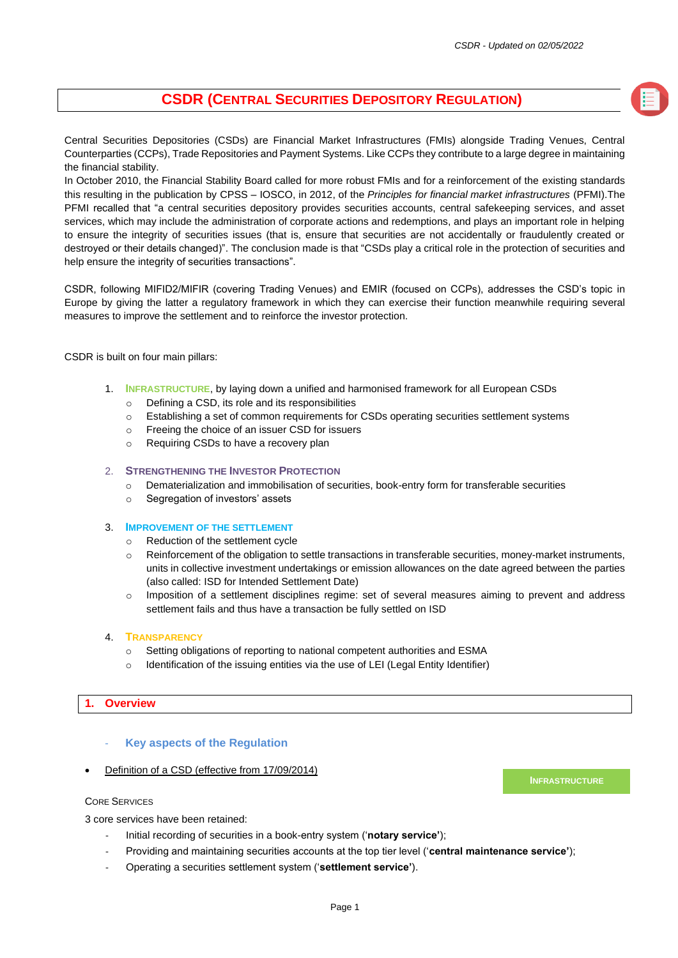### **CSDR (CENTRAL SECURITIES DEPOSITORY REGULATION)**

Central Securities Depositories (CSDs) are Financial Market Infrastructures (FMIs) alongside Trading Venues, Central Counterparties (CCPs), Trade Repositories and Payment Systems. Like CCPs they contribute to a large degree in maintaining the financial stability.

In October 2010, the Financial Stability Board called for more robust FMIs and for a reinforcement of the existing standards this resulting in the publication by CPSS – IOSCO, in 2012, of the *Principles for financial market infrastructures* (PFMI).The PFMI recalled that "a central securities depository provides securities accounts, central safekeeping services, and asset services, which may include the administration of corporate actions and redemptions, and plays an important role in helping to ensure the integrity of securities issues (that is, ensure that securities are not accidentally or fraudulently created or destroyed or their details changed)". The conclusion made is that "CSDs play a critical role in the protection of securities and help ensure the integrity of securities transactions".

CSDR, following MIFID2/MIFIR (covering Trading Venues) and EMIR (focused on CCPs), addresses the CSD's topic in Europe by giving the latter a regulatory framework in which they can exercise their function meanwhile requiring several measures to improve the settlement and to reinforce the investor protection.

CSDR is built on four main pillars:

- 1. **INFRASTRUCTURE**, by laying down a unified and harmonised framework for all European CSDs
	- o Defining a CSD, its role and its responsibilities
	- o Establishing a set of common requirements for CSDs operating securities settlement systems
	- o Freeing the choice of an issuer CSD for issuers
	- o Requiring CSDs to have a recovery plan

#### 2. **STRENGTHENING THE INVESTOR PROTECTION**

- o Dematerialization and immobilisation of securities, book-entry form for transferable securities
- o Segregation of investors' assets

#### 3. **IMPROVEMENT OF THE SETTLEMENT**

- o Reduction of the settlement cycle
- o Reinforcement of the obligation to settle transactions in transferable securities, money-market instruments, units in collective investment undertakings or emission allowances on the date agreed between the parties (also called: ISD for Intended Settlement Date)
- o Imposition of a settlement disciplines regime: set of several measures aiming to prevent and address settlement fails and thus have a transaction be fully settled on ISD

#### 4. **TRANSPARENCY**

- Setting obligations of reporting to national competent authorities and ESMA
- o Identification of the issuing entities via the use of LEI (Legal Entity Identifier)

#### **1. Overview**

- **Key aspects of the Regulation**
- Definition of a CSD (effective from 17/09/2014)

#### CORE SERVICES

3 core services have been retained:

- Initial recording of securities in a book-entry system ('**notary service'**);
- Providing and maintaining securities accounts at the top tier level ('**central maintenance service'**);
- Operating a securities settlement system ('**settlement service'**).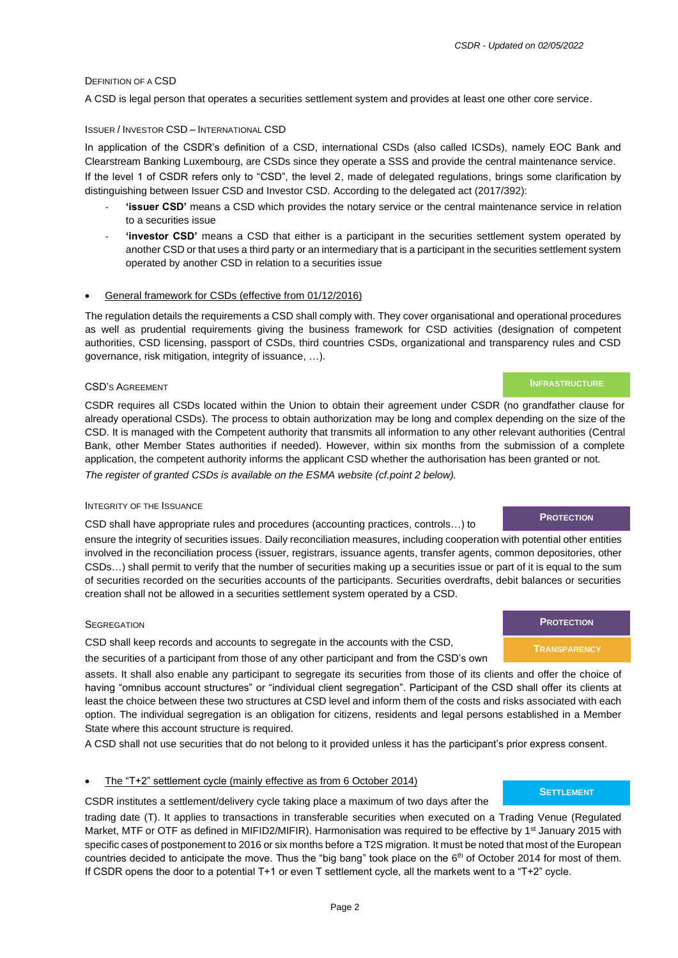#### DEFINITION OF A CSD

A CSD is legal person that operates a securities settlement system and provides at least one other core service.

#### ISSUER / INVESTOR CSD – INTERNATIONAL CSD

In application of the CSDR's definition of a CSD, international CSDs (also called ICSDs), namely EOC Bank and Clearstream Banking Luxembourg, are CSDs since they operate a SSS and provide the central maintenance service.

If the level 1 of CSDR refers only to "CSD", the level 2, made of delegated regulations, brings some clarification by distinguishing between Issuer CSD and Investor CSD. According to the delegated act (2017/392):

- **'issuer CSD'** means a CSD which provides the notary service or the central maintenance service in relation to a securities issue
- **'investor CSD'** means a CSD that either is a participant in the securities settlement system operated by another CSD or that uses a third party or an intermediary that is a participant in the securities settlement system operated by another CSD in relation to a securities issue

#### • General framework for CSDs (effective from 01/12/2016)

The regulation details the requirements a CSD shall comply with. They cover organisational and operational procedures as well as prudential requirements giving the business framework for CSD activities (designation of competent authorities, CSD licensing, passport of CSDs, third countries CSDs, organizational and transparency rules and CSD governance, risk mitigation, integrity of issuance, …).

#### CSD'S AGREEMENT

CSDR requires all CSDs located within the Union to obtain their agreement under CSDR (no grandfather clause for already operational CSDs). The process to obtain authorization may be long and complex depending on the size of the CSD. It is managed with the Competent authority that transmits all information to any other relevant authorities (Central Bank, other Member States authorities if needed). However, within six months from the submission of a complete application, the competent authority informs the applicant CSD whether the authorisation has been granted or not. *The register of granted CSDs is available on the ESMA website (cf.point 2 below).*

#### INTEGRITY OF THE ISSUANCE

CSD shall have appropriate rules and procedures (accounting practices, controls…) to

ensure the integrity of securities issues. Daily reconciliation measures, including cooperation with potential other entities involved in the reconciliation process (issuer, registrars, issuance agents, transfer agents, common depositories, other CSDs…) shall permit to verify that the number of securities making up a securities issue or part of it is equal to the sum of securities recorded on the securities accounts of the participants. Securities overdrafts, debit balances or securities creation shall not be allowed in a securities settlement system operated by a CSD.

#### **SEGREGATION**

CSD shall keep records and accounts to segregate in the accounts with the CSD, the securities of a participant from those of any other participant and from the CSD's own

assets. It shall also enable any participant to segregate its securities from those of its clients and offer the choice of having "omnibus account structures" or "individual client segregation". Participant of the CSD shall offer its clients at least the choice between these two structures at CSD level and inform them of the costs and risks associated with each option. The individual segregation is an obligation for citizens, residents and legal persons established in a Member State where this account structure is required.

A CSD shall not use securities that do not belong to it provided unless it has the participant's prior express consent.

#### The "T+2" settlement cycle (mainly effective as from 6 October 2014)

CSDR institutes a settlement/delivery cycle taking place a maximum of two days after the

trading date (T). It applies to transactions in transferable securities when executed on a Trading Venue (Regulated Market, MTF or OTF as defined in MIFID2/MIFIR). Harmonisation was required to be effective by 1<sup>st</sup> January 2015 with specific cases of postponement to 2016 or six months before a T2S migration. It must be noted that most of the European countries decided to anticipate the move. Thus the "big bang" took place on the  $6<sup>th</sup>$  of October 2014 for most of them. If CSDR opens the door to a potential T+1 or even T settlement cycle, all the markets went to a "T+2" cycle.

### **PROTECTION**

**INFRASTRUCTURE**

#### **SETTLEMENT**

## **PROTECTION**

**TRANSPARENCY**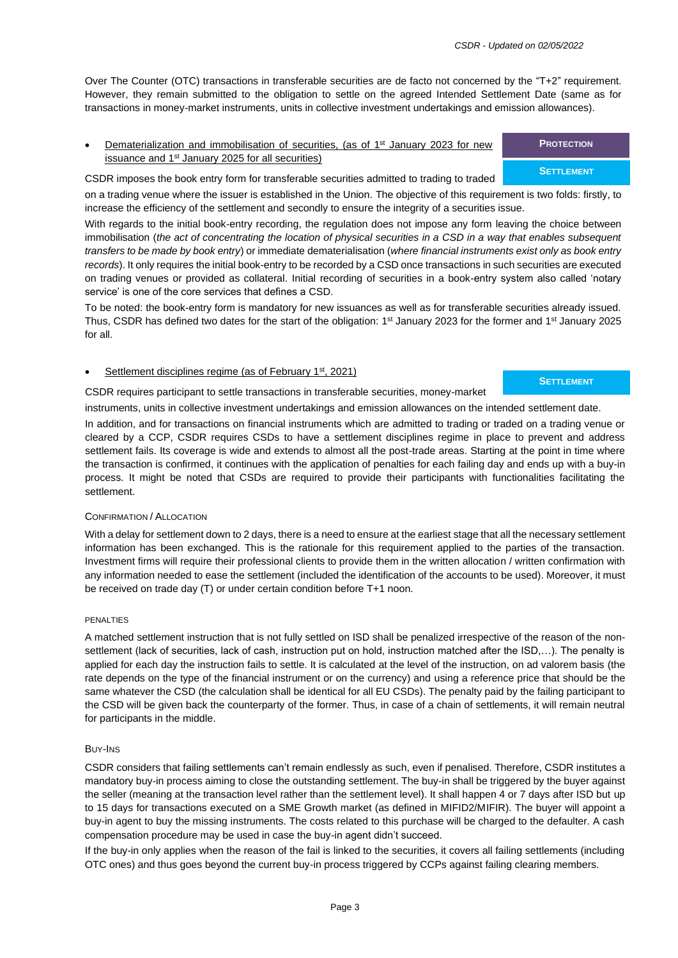Over The Counter (OTC) transactions in transferable securities are de facto not concerned by the "T+2" requirement. However, they remain submitted to the obligation to settle on the agreed Intended Settlement Date (same as for transactions in money-market instruments, units in collective investment undertakings and emission allowances).

• Dematerialization and immobilisation of securities, (as of 1<sup>st</sup> January 2023 for new issuance and 1<sup>st</sup> January 2025 for all securities)

CSDR imposes the book entry form for transferable securities admitted to trading to traded on a trading venue where the issuer is established in the Union. The objective of this requirement is two folds: firstly, to increase the efficiency of the settlement and secondly to ensure the integrity of a securities issue.

With regards to the initial book-entry recording, the regulation does not impose any form leaving the choice between immobilisation (*the act of concentrating the location of physical securities in a CSD in a way that enables subsequent transfers to be made by book entry*) or immediate dematerialisation (*where financial instruments exist only as book entry records*). It only requires the initial book-entry to be recorded by a CSD once transactions in such securities are executed on trading venues or provided as collateral. Initial recording of securities in a book-entry system also called 'notary service' is one of the core services that defines a CSD.

To be noted: the book-entry form is mandatory for new issuances as well as for transferable securities already issued. Thus, CSDR has defined two dates for the start of the obligation: 1<sup>st</sup> January 2023 for the former and 1<sup>st</sup> January 2025 for all.

#### Settlement disciplines regime (as of February 1<sup>st</sup>, 2021)

CSDR requires participant to settle transactions in transferable securities, money-market

instruments, units in collective investment undertakings and emission allowances on the intended settlement date.

In addition, and for transactions on financial instruments which are admitted to trading or traded on a trading venue or cleared by a CCP, CSDR requires CSDs to have a settlement disciplines regime in place to prevent and address settlement fails. Its coverage is wide and extends to almost all the post-trade areas. Starting at the point in time where the transaction is confirmed, it continues with the application of penalties for each failing day and ends up with a buy-in process. It might be noted that CSDs are required to provide their participants with functionalities facilitating the settlement.

#### CONFIRMATION / ALLOCATION

With a delay for settlement down to 2 days, there is a need to ensure at the earliest stage that all the necessary settlement information has been exchanged. This is the rationale for this requirement applied to the parties of the transaction. Investment firms will require their professional clients to provide them in the written allocation / written confirmation with any information needed to ease the settlement (included the identification of the accounts to be used). Moreover, it must be received on trade day (T) or under certain condition before T+1 noon.

#### PENALTIES

A matched settlement instruction that is not fully settled on ISD shall be penalized irrespective of the reason of the nonsettlement (lack of securities, lack of cash, instruction put on hold, instruction matched after the ISD,…). The penalty is applied for each day the instruction fails to settle. It is calculated at the level of the instruction, on ad valorem basis (the rate depends on the type of the financial instrument or on the currency) and using a reference price that should be the same whatever the CSD (the calculation shall be identical for all EU CSDs). The penalty paid by the failing participant to the CSD will be given back the counterparty of the former. Thus, in case of a chain of settlements, it will remain neutral for participants in the middle.

#### BUY-INS

CSDR considers that failing settlements can't remain endlessly as such, even if penalised. Therefore, CSDR institutes a mandatory buy-in process aiming to close the outstanding settlement. The buy-in shall be triggered by the buyer against the seller (meaning at the transaction level rather than the settlement level). It shall happen 4 or 7 days after ISD but up to 15 days for transactions executed on a SME Growth market (as defined in MIFID2/MIFIR). The buyer will appoint a buy-in agent to buy the missing instruments. The costs related to this purchase will be charged to the defaulter. A cash compensation procedure may be used in case the buy-in agent didn't succeed.

If the buy-in only applies when the reason of the fail is linked to the securities, it covers all failing settlements (including OTC ones) and thus goes beyond the current buy-in process triggered by CCPs against failing clearing members.

### **PROTECTION**

#### **SETTLEMENT**

### **SETTLEMENT**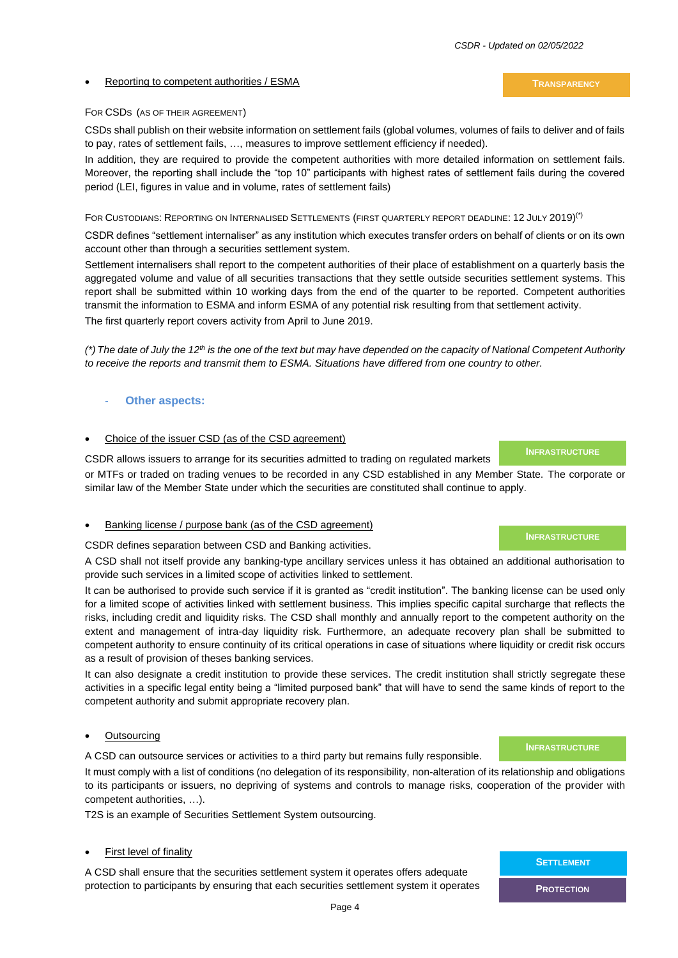**TRANSPARENCY**

#### • Reporting to competent authorities / ESMA

#### FOR CSDS (AS OF THEIR AGREEMENT)

CSDs shall publish on their website information on settlement fails (global volumes, volumes of fails to deliver and of fails to pay, rates of settlement fails, …, measures to improve settlement efficiency if needed).

In addition, they are required to provide the competent authorities with more detailed information on settlement fails. Moreover, the reporting shall include the "top 10" participants with highest rates of settlement fails during the covered period (LEI, figures in value and in volume, rates of settlement fails)

FOR CUSTODIANS: REPORTING ON INTERNALISED SETTLEMENTS (FIRST QUARTERLY REPORT DEADLINE: 12 JULY 2019)(\*)

CSDR defines "settlement internaliser" as any institution which executes transfer orders on behalf of clients or on its own account other than through a securities settlement system.

Settlement internalisers shall report to the competent authorities of their place of establishment on a quarterly basis the aggregated volume and value of all securities transactions that they settle outside securities settlement systems. This report shall be submitted within 10 working days from the end of the quarter to be reported. Competent authorities transmit the information to ESMA and inform ESMA of any potential risk resulting from that settlement activity.

The first quarterly report covers activity from April to June 2019.

*(\*) The date of July the 12th is the one of the text but may have depended on the capacity of National Competent Authority to receive the reports and transmit them to ESMA. Situations have differed from one country to other.*

#### **Other aspects:**

#### Choice of the issuer CSD (as of the CSD agreement)

CSDR allows issuers to arrange for its securities admitted to trading on regulated markets

or MTFs or traded on trading venues to be recorded in any CSD established in any Member State. The corporate or similar law of the Member State under which the securities are constituted shall continue to apply.

#### Banking license / purpose bank (as of the CSD agreement)

CSDR defines separation between CSD and Banking activities.

A CSD shall not itself provide any banking-type ancillary services unless it has obtained an additional authorisation to provide such services in a limited scope of activities linked to settlement.

It can be authorised to provide such service if it is granted as "credit institution". The banking license can be used only for a limited scope of activities linked with settlement business. This implies specific capital surcharge that reflects the risks, including credit and liquidity risks. The CSD shall monthly and annually report to the competent authority on the extent and management of intra-day liquidity risk. Furthermore, an adequate recovery plan shall be submitted to competent authority to ensure continuity of its critical operations in case of situations where liquidity or credit risk occurs as a result of provision of theses banking services.

It can also designate a credit institution to provide these services. The credit institution shall strictly segregate these activities in a specific legal entity being a "limited purposed bank" that will have to send the same kinds of report to the competent authority and submit appropriate recovery plan.

#### **Outsourcing**

A CSD can outsource services or activities to a third party but remains fully responsible.

It must comply with a list of conditions (no delegation of its responsibility, non-alteration of its relationship and obligations to its participants or issuers, no depriving of systems and controls to manage risks, cooperation of the provider with competent authorities, …).

T2S is an example of Securities Settlement System outsourcing.

#### First level of finality

A CSD shall ensure that the securities settlement system it operates offers adequate protection to participants by ensuring that each securities settlement system it operates

# **SETTLEMENT PROTECTION**

#### **INFRASTRUCTURE**

**INFRASTRUCTURE**

#### **INFRASTRUCTURE**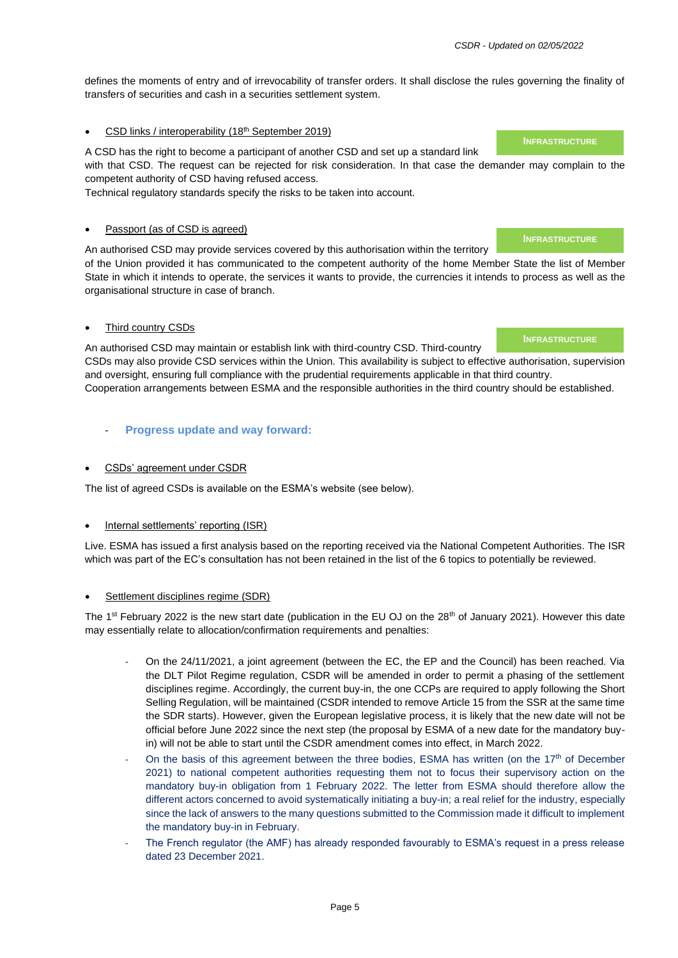defines the moments of entry and of irrevocability of transfer orders. It shall disclose the rules governing the finality of transfers of securities and cash in a securities settlement system.

#### • CSD links / interoperability (18th September 2019)

A CSD has the right to become a participant of another CSD and set up a standard link with that CSD. The request can be rejected for risk consideration. In that case the demander may complain to the competent authority of CSD having refused access.

Technical regulatory standards specify the risks to be taken into account.

#### Passport (as of CSD is agreed)

An authorised CSD may provide services covered by this authorisation within the territory

of the Union provided it has communicated to the competent authority of the home Member State the list of Member State in which it intends to operate, the services it wants to provide, the currencies it intends to process as well as the organisational structure in case of branch.

#### • Third country CSDs

An authorised CSD may maintain or establish link with third-country CSD. Third-country CSDs may also provide CSD services within the Union. This availability is subject to effective authorisation, supervision and oversight, ensuring full compliance with the prudential requirements applicable in that third country. Cooperation arrangements between ESMA and the responsible authorities in the third country should be established.

- **Progress update and way forward:**
- CSDs' agreement under CSDR

The list of agreed CSDs is available on the ESMA's website (see below).

#### Internal settlements' reporting (ISR)

Live. ESMA has issued a first analysis based on the reporting received via the National Competent Authorities. The ISR which was part of the EC's consultation has not been retained in the list of the 6 topics to potentially be reviewed.

#### Settlement disciplines regime (SDR)

The 1<sup>st</sup> February 2022 is the new start date (publication in the EU OJ on the 28<sup>th</sup> of January 2021). However this date may essentially relate to allocation/confirmation requirements and penalties:

- On the 24/11/2021, a joint agreement (between the EC, the EP and the Council) has been reached. Via the DLT Pilot Regime regulation, CSDR will be amended in order to permit a phasing of the settlement disciplines regime. Accordingly, the current buy-in, the one CCPs are required to apply following the Short Selling Regulation, will be maintained (CSDR intended to remove Article 15 from the SSR at the same time the SDR starts). However, given the European legislative process, it is likely that the new date will not be official before June 2022 since the next step (the proposal by ESMA of a new date for the mandatory buyin) will not be able to start until the CSDR amendment comes into effect, in March 2022.
- On the basis of this agreement between the three bodies, ESMA has written (on the  $17<sup>th</sup>$  of December 2021) to national competent authorities requesting them not to focus their supervisory action on the mandatory buy-in obligation from 1 February 2022. The letter from ESMA should therefore allow the different actors concerned to avoid systematically initiating a buy-in; a real relief for the industry, especially since the lack of answers to the many questions submitted to the Commission made it difficult to implement the mandatory buy-in in February.
- The French regulator (the AMF) has already responded favourably to ESMA's request in a press release dated 23 December 2021.

**INFRASTRUCTURE**

#### **INFRASTRUCTURE**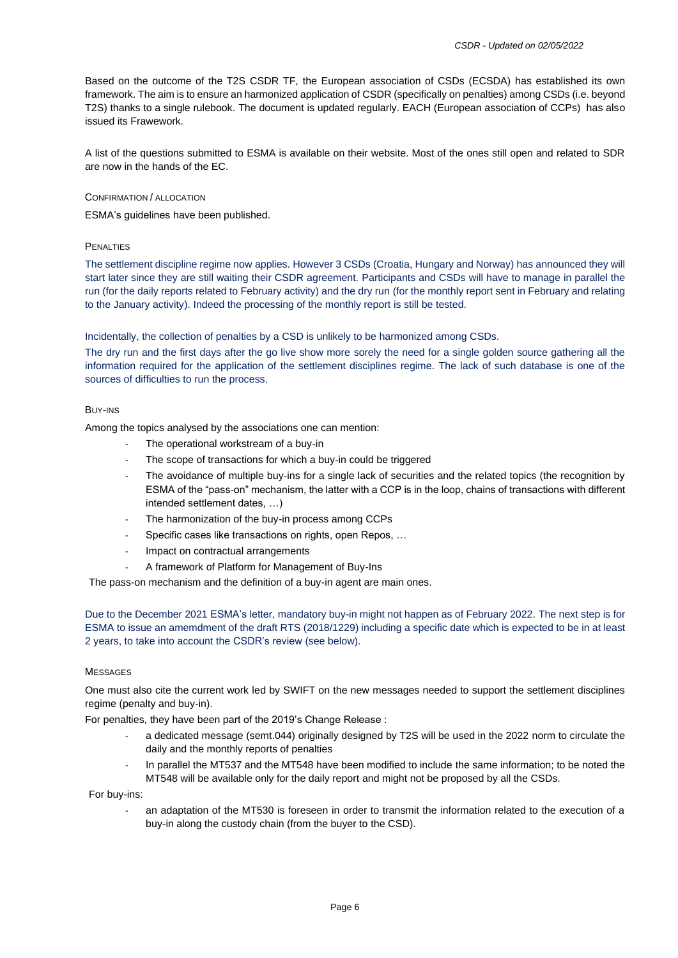Based on the outcome of the T2S CSDR TF, the European association of CSDs (ECSDA) has established its own framework. The aim is to ensure an harmonized application of CSDR (specifically on penalties) among CSDs (i.e. beyond T2S) thanks to a single rulebook. The document is updated regularly. EACH (European association of CCPs) has also issued its Frawework.

A list of the questions submitted to ESMA is available on their website. Most of the ones still open and related to SDR are now in the hands of the EC.

#### CONFIRMATION / ALLOCATION

ESMA's guidelines have been published.

#### PENALTIES

The settlement discipline regime now applies. However 3 CSDs (Croatia, Hungary and Norway) has announced they will start later since they are still waiting their CSDR agreement. Participants and CSDs will have to manage in parallel the run (for the daily reports related to February activity) and the dry run (for the monthly report sent in February and relating to the January activity). Indeed the processing of the monthly report is still be tested.

Incidentally, the collection of penalties by a CSD is unlikely to be harmonized among CSDs.

The dry run and the first days after the go live show more sorely the need for a single golden source gathering all the information required for the application of the settlement disciplines regime. The lack of such database is one of the sources of difficulties to run the process.

#### BUY-INS

Among the topics analysed by the associations one can mention:

- The operational workstream of a buy-in
- The scope of transactions for which a buy-in could be triggered
- The avoidance of multiple buy-ins for a single lack of securities and the related topics (the recognition by ESMA of the "pass-on" mechanism, the latter with a CCP is in the loop, chains of transactions with different intended settlement dates, …)
- The harmonization of the buy-in process among CCPs
- Specific cases like transactions on rights, open Repos, ...
- Impact on contractual arrangements
- A framework of Platform for Management of Buy-Ins

The pass-on mechanism and the definition of a buy-in agent are main ones.

Due to the December 2021 ESMA's letter, mandatory buy-in might not happen as of February 2022. The next step is for ESMA to issue an amemdment of the draft RTS (2018/1229) including a specific date which is expected to be in at least 2 years, to take into account the CSDR's review (see below).

#### **MESSAGES**

One must also cite the current work led by SWIFT on the new messages needed to support the settlement disciplines regime (penalty and buy-in).

For penalties, they have been part of the 2019's Change Release :

- a dedicated message (semt.044) originally designed by T2S will be used in the 2022 norm to circulate the daily and the monthly reports of penalties
- In parallel the MT537 and the MT548 have been modified to include the same information; to be noted the MT548 will be available only for the daily report and might not be proposed by all the CSDs.

For buy-ins:

an adaptation of the MT530 is foreseen in order to transmit the information related to the execution of a buy-in along the custody chain (from the buyer to the CSD).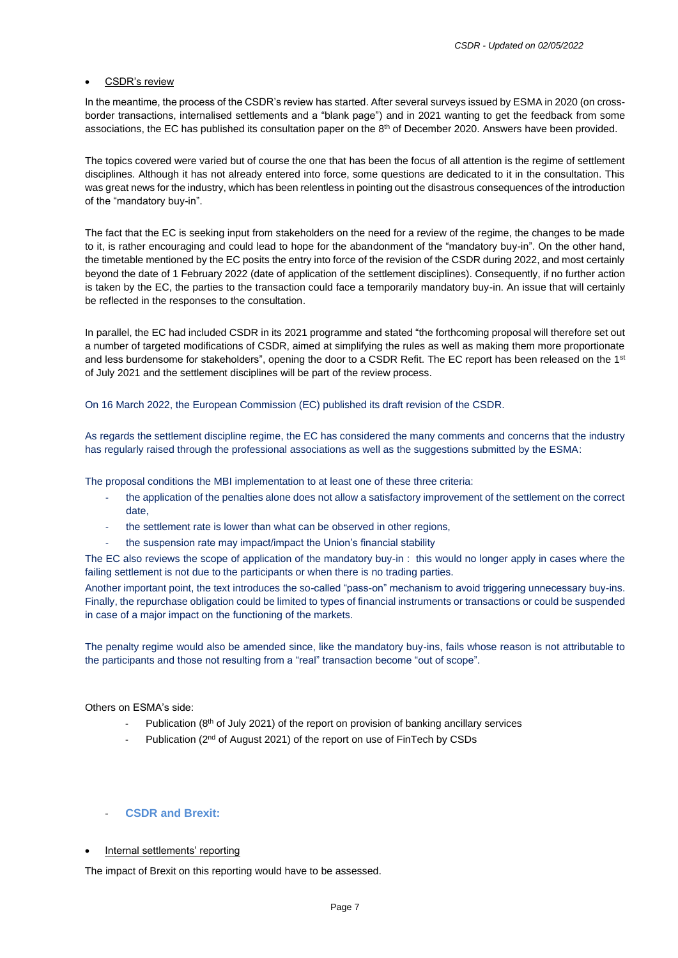#### CSDR's review

In the meantime, the process of the CSDR's review has started. After several surveys issued by ESMA in 2020 (on crossborder transactions, internalised settlements and a "blank page") and in 2021 wanting to get the feedback from some associations, the EC has published its consultation paper on the 8<sup>th</sup> of December 2020. Answers have been provided.

The topics covered were varied but of course the one that has been the focus of all attention is the regime of settlement disciplines. Although it has not already entered into force, some questions are dedicated to it in the consultation. This was great news for the industry, which has been relentless in pointing out the disastrous consequences of the introduction of the "mandatory buy-in".

The fact that the EC is seeking input from stakeholders on the need for a review of the regime, the changes to be made to it, is rather encouraging and could lead to hope for the abandonment of the "mandatory buy-in". On the other hand, the timetable mentioned by the EC posits the entry into force of the revision of the CSDR during 2022, and most certainly beyond the date of 1 February 2022 (date of application of the settlement disciplines). Consequently, if no further action is taken by the EC, the parties to the transaction could face a temporarily mandatory buy-in. An issue that will certainly be reflected in the responses to the consultation.

In parallel, the EC had included CSDR in its 2021 programme and stated "the forthcoming proposal will therefore set out a number of targeted modifications of CSDR, aimed at simplifying the rules as well as making them more proportionate and less burdensome for stakeholders", opening the door to a CSDR Refit. The EC report has been released on the 1<sup>st</sup> of July 2021 and the settlement disciplines will be part of the review process.

On 16 March 2022, the European Commission (EC) published its draft revision of the CSDR.

As regards the settlement discipline regime, the EC has considered the many comments and concerns that the industry has regularly raised through the professional associations as well as the suggestions submitted by the ESMA:

The proposal conditions the MBI implementation to at least one of these three criteria:

- the application of the penalties alone does not allow a satisfactory improvement of the settlement on the correct date,
- the settlement rate is lower than what can be observed in other regions,
- the suspension rate may impact/impact the Union's financial stability

The EC also reviews the scope of application of the mandatory buy-in : this would no longer apply in cases where the failing settlement is not due to the participants or when there is no trading parties.

Another important point, the text introduces the so-called "pass-on" mechanism to avoid triggering unnecessary buy-ins. Finally, the repurchase obligation could be limited to types of financial instruments or transactions or could be suspended in case of a major impact on the functioning of the markets.

The penalty regime would also be amended since, like the mandatory buy-ins, fails whose reason is not attributable to the participants and those not resulting from a "real" transaction become "out of scope".

#### Others on ESMA's side:

- Publication (8<sup>th</sup> of July 2021) of the report on provision of banking ancillary services
- Publication (2<sup>nd</sup> of August 2021) of the report on use of FinTech by CSDs

#### - **CSDR and Brexit:**

Internal settlements' reporting

The impact of Brexit on this reporting would have to be assessed.